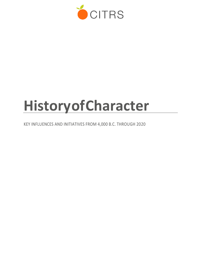

# **HistoryofCharacter**

KEY INFLUENCES AND INITIATIVES FROM 4,000 B.C. THROUGH 2020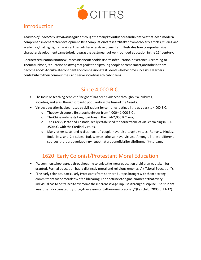

### Introduction

A*HistoryofCharacterEducation*isaguidethroughthemanykeyinfluencesandinitiativesthatledto modern comprehensivecharacterdevelopment.Itisacompilationofresearchtakenfromscholarly articles, studies, and academics,that highlightsthe vibrant past of character development andillustrates howcomprehensive character development came to be known as the best means of well-rounded education in the 21<sup>st</sup> century.

Charactereducationisnotnew.Infact,itisoneoftheoldestformsofeducationinexistence.According to ThomasLickona,"educationhastwogreatgoals:tohelpyoungpeoplebecomesmart,andtohelp them becomegood"-tocultivateconfidentandcompassionatestudentswhobecomesuccessful learners, contribute to their communities,and serve society as ethical citizens.

# Since 4,000 B.C.

- The focus onteaching people to "be good" has been evidenced throughout all cultures, societies, and eras, though it rose to popularity in the time of the Greeks.
- Virtues education has been used by civilizations for centuries, dating all the way back to 4,000 B.C.
	- o The Jewish people first taught virtues from 4,000 1,000 B.C.,
	- o The Chinese dynasty taught virtuesin themid-2,000B.C. era,
	- o The Greeks, Plato and Aristotle, really established the cornerstone of virtuestraining in 500 350 B.C. with the Cardinal virtues.
	- o Many other sects and civilizations of people have also taught virtues: Romans, Hindus, Buddhists, and Christians. Today, even atheists have virtues. Among all these different sources,thereareoverlappingvirtuesthatarebeneficialforallofhumanitytolearn.

# 1620: Early Colonist/Protestant Moral Education

- "As common schoolspread throughoutthe colonies,the moral education of children wastaken for granted. Formal education had a distinctly moral and religious emphasis" ("Moral Education").
- "The early colonists, particularly Protestantsfrom northern Europe, brought with them a strong commitmenttothemoraltaskofchildrearing.Thedoctrineoforiginalsinmeantthatevery individual hadto be trained to overcome the inherentsavage impulsesthrough discipline. The student wastobeindoctrinated, byforce, if necessary, into the norms of society" (Fairchild, 2006 p. 11-12).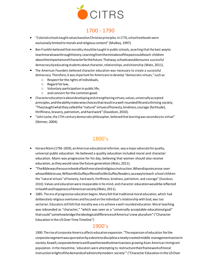

#### 1700 - 1790

- "Colonialschoolstaught valuesbasedonChristianprinciples.In1776,schooltextbookswere exclusively limited tomorals and religious content" (Mulkey, 1997).
- Ben Franklin believed that morality should be taught in public schools, asserting that the best wayto teachmoralswasthroughhistory.Learningfromthemistakesofthepastcouldteach children abouttheimportanceofcharacterforthefuture.Thatway,schoolswouldensurea successful democracy by educating students about character, relationships, and citizenship (Watz, 2011).
- The American Founders believed character education was necessary to create a successful democracy. Therefore, it was important for Americans to develop "democratic virtues," such as:
	- o Respect forthe rights ofindividuals,
	- o Regard forlaw,
	- o Voluntary participation in public life,
	- o and concern forthe common good.
- Charactereducation is about developing and strengthening virtues, values, universally accepted principles,andtheabilitymakewisechoicesthatresultinawell-roundedlifeandathriving society. "Theytaughtwhattheycalledthe"natural"virtuesofhonesty,kindness,courage (fortitude), thriftiness, bravery, patriotism, and hardwork" (Davidson, 2010).
- "John Locke, the 17th-century democratic philosopher, believed that learning was secondary to virtue" (Skinner, 2004).

#### 1800's

- HoraceMann(1796-1859), anAmericaneducationalreformer,was amajor advocate forquality, universal public education. He believed a quality education included moral and character education. Mann was progressive for his day, believing that women should also receive education, astheywould raise the future generation (Watz, 2011).
- "TheBiblewasthesourcebookofbothmoralandreligiousinstruction.Whendisputesarose over whoseBibletouse,WilliamMcGuffeyofferedhisMcGuffeyReaders,asawaytoteach school children the "natural virtues" of honesty, hard work, thriftiness, kindness, patriotism, and courage" (Davidson, 2010). Values and education were inseparable in his mind, and character education would be reflected inhealthandhappinessofAmericansociety(Watz,2011).
- 1885: The era of progressive education begins. Many felt that traditional moral education, which had deliberately religious overtones and focused on the individual'srelationship withGod, was too sectarian. Educators still felt that morality was a to achieve a well-rounded education. Moral teaching was rebranded as "character," "which was seen as a "universally acceptable educationalgoal" thatcould"somehowbridgetheideologicaldifferencesofAmerica'snew pluralism" ("Character Education in the US Over Time Timeline")

#### 1900's

1900: The rise of corporate America affects education expansion. "The expansion of education forthe corporatesegmentwasspurredonbyadesiretodisciplineanewlycreatedmiddle managementsectorin society.Aswell,corporateAmericastillsawtheneedtoAmericanizea growing Asian American immigrant population. In the meantime, 'educators were attempting to restructuretheirframeworkofmoral instruction in light of the demands of a distinctlymodern society" ("Character Education in the USOver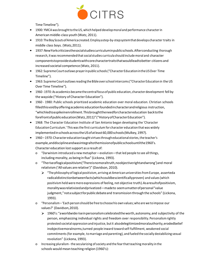

Time Timeline").

- 1900: YMCA was brought to the US, which helped develop moral and performance character in American middle-class youth (Watz, 2011).
- 1910:TheBoy ScoutsofAmericacreated.Employastep-by-stepsystemthatdevelops character traits in middle class boys. (Watz,2011).
- 1937:NewYorkcriticizesthesocialstudiescurriculuminpublicschools.Afterconducting thorough research, itwasrecommendedthatsocialstudies curricula shouldincludemoral and character componentstoprovidestudentswithcorecharactertraitsthatwouldleadtobetter citizens and increased societal competence (Watz, 2011).
- 1962:SupremeCourtoutlaws prayerinpublicschools("CharacterEducationintheUSOver Time Timeline").
- 1963: Supreme Court outlaws reading the Bible over school intercoms ("Character Education in the US Over Time Timeline").
- 1960-1970:As academics becamethecentralfocusofpublic education, characterdevelopment fell by the wayside ("History of Character Education").
- 1960 1980: Public schools prioritized academic education over moral education. Christian schools filledthisvoidbyofferingacademiceducationfoundedincharacterandreligious instruction, "whichledtoaspikeinenrollment.Thisbroughttheneedforcharactereducation backtothe forefrontofpubliceducation(Watz,2011)"("HistoryofCharacterEducation").
- 1968: The Character Education Institute of San Antonio began developing the 'Character Education Curriculum.' This was the first curriculum for character education that was widely implemented in schools across the US of at least 60,000 schools (Mulkey, 1997).
- 1960 1970: Character educationtaught virtuesthrougheducationalstories,the teacher's example,anddisciplineandwasintegraltothemissionofpublicschoolsuntilthe1960's. Character education lost support as a result of:
	- o "Darwinism introduced a new metaphor—evolution—that led people to see allthings, including morality, as being in flux" (Lickona, 1993).
	- o "Theriseoflogicalpositivism('Thereisnomoraltruth,noobjectiverightandwrong')and moral relativism ('All values are relative')" (Davidson, 2010).
		- $\triangleright$  "The philosophy of logical positivism, arriving at American universities from Europe, asserteda radicaldistinctionbetweenfacts(whichcouldbescientificallyproven) and values(which positivism held weremere expressions of feeling, not objective truth).Asaresultofpositivism, moralitywasrelativizedandprivatized—madeto seemamatterofpersonal"value judgment,"notasubjectforpublicdebateand transmission through the schools" (Lickona, 1993).
	- o "Personalism–'Each personshould be free tochoosehis own values;who are we toimpose our values?' (Davidson,2010).
		- $\geq 1960$ 's: "aworldwide rise in personalism celebrated the worth, autonomy, and subjectivity of the person, emphasizing individual rights and freedom over responsibility. Personalismrightly protested societal oppression andinjustice, butit alsodelegitimizedmoralauthority,erodedbelief inobjectivemoralnorms,turned people inward toward self-fulfillment, weakened social commitments(for example, tomarriage and parenting), and fueledthe socially destabilizing sexual revolution" (Lickona, 1993).
	- o Increasing pluralism -the secularizing ofsociety and the fearthatteaching morality in the schools would mean teaching religion (1960's):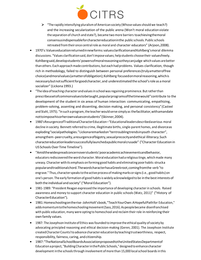

- $\triangleright$  "The rapidly intensifying pluralism of American society (Whose values should we teach?) and the increasing secularization of the public arena (Won't moral education violate the separation of church and state?), became two more barriers toachievingthemoral consensusindispensableforcharactereducationinthe public schools. Public schools retreated from their once central role as moral and character educators" (Arjoon, 2008).
- 1970's:Valueseducationreturnedinnewforms:valuesclarificationandKohlberg'smoral dilemma discussions. "Values clarificationsaid, don'timpose values; helpstudents choosetheir valuesfreely. Kohlbergsaid,developstudents'powersofmoralreasoningsotheycanjudge whichvalues arebetter than others. Each approach made contributions, but each had problems. Values clarification, though rich in methodology, failed to distinguish between personal preferences(trulyamatteroffree choice)andmoralvalues(amatterofobligation);Kohlberg focusedonmoralreasoning,whichis necessarybutnotsufficientforgoodcharacter,and underestimatedthe school'srole as amoral socializer" (Lickona 1993.)
- "The idea ofteaching character andvaluesinschool wasregaining prominence. Butratherthan prescribeasetofcommonvaluestobetaught,popularprogramsofthetimewould"contribute to the development of the student in six areas of human interaction: communicating, empathizing, problem-solving, assenting and dissenting, decision making, and personal consistency" (Casteel and Stahl, 1975). "In such a program, the teacher would serve simply as the facilitator, withamandate nottoimposehisorherownvaluesonstudents"(Skinner,2004).
- 1980'sResurgenceofTraditionalCharacterEducation–"Educationalleadersdescribedaserious moral decline in society. Bennett referred to crime, illegitimate births, single-parent homes, and divorceas exploding"socialpathologies."Lickonaremarkedon"tentroublingtrendsinyouth character", amongthem-peercruelty,aresurgenceofbigotry,sexualprecocityandethical illiteracy.Such charactereducationleaderssuccessfullylaunchedapublicmoralcrusade" ("Character Education in US Schools Over Time Timeline").
- "Amidthewidespreadconcernoverstudents'pooracademicachievementsandbehavior, educatorsrediscoveredthe word character.Moral education had a religioustinge, whichmade many uneasy. Character with its emphasis on forming good habits and eliminating poor habits strucka popularandtraditionalchord.ThewordcharacterhasaGreekroot,comingfromthe verb "to engrave." Thus, characterspeakstothe active process ofmakingmarks orsigns(i.e., good habits) on one's person. The early formation of good habitsis widely acknowledged to be in the bestinterests of both the individual and society" ("Moral Education").
- 1981-1989: "President Reagan expressed the importance of developing character in schools. Raised awareness and money to support character education in public schools (Watz, 2011)" ("History of CharacterEducation").
- 1981:Homeschoolingontherise-JohnHolt'sbook,"TeachYourOwn:AHopefulPathfor Education," addsmomentumtothehomeschoolingmovement(Sass,2016).Aspeoplebecame disenfranchised with public education, many were opting to homeschool and reclaim their role in reinforcing their own family values.
- 1987: The Josephson Institute of Ethics was founded to improve the ethical quality of society by advocating principled reasoning and ethical decision-making (Geren, 2001). The Josephson Institute createdCharacterCounts!to advance character educationby teachingtrustworthiness, respect, responsibility, fairness, caring, and citizenship.
- 1987:"TheNationalSchoolBoardsAssociationproposedtotheUnitedStatesDepartmentof Educationaproject, "BuildingCharacterinthePublic Schools,"designedto enhance character development in the schools through involvement of more than 15,000 local school boards in this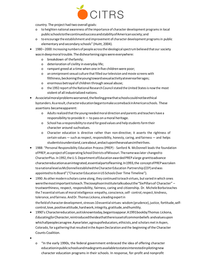

country. The project had two overall goals:

- o to heighten national awareness ofthe importance of character development programsin local publicschoolstothecontinuedsuccessandstabilityofAmericansociety;and
- o to encourage the establishment and improvement of character development programsin public elementary and secondary schools" (Huitt, 2004).
- 1980 –2000:Increasing numbers of people acrossthe ideologicalspectrumbelievedthat our society was in deep moral trouble. The disheartening signs were everywhere:
	- o breakdown of thefamily;
	- o deterioration of civility in everyday life;
	- o rampant greed at a time when one in five childrenwere poor;
	- o an omnipresentsexual culture that filled ourtelevision and movie screens with filthiness,beckoningtheyoungtowardsexualactivityateverearlierages;
	- o enormous betrayal of children through sexual abuse;
	- o the 1992 report of the National Research Council stated the United States is now the most violent of all industrialized nations.
- Associetalmoralproblemsworsened,thefeelinggrewthatschoolscouldnotbeethical bystanders.Asaresult,charactereducationbegantomake acomebackinAmericanschools. These assertions becameapparent:
	- o Adultsrealizedthatthe young neededmoral direction and parents and teachers have a responsibility to provide it— to pass on amoral heritage.
	- o School has a responsibility to stand for good values and help studentsformtheir character around suchvalues.
	- o Character education is directive rather than non-directive; it asserts the rightness of certain values — such asrespect, responsibility, honesty, caring, and fairness — and helps studentstounderstand,careabout,andactuponthesevaluesintheirlives.
- 1988: "Personal Responsibility Education Process (PREP) Sanford N. McDonnell leads the foundation of PREP, as a project of Cooperating School Districts of Missouri. The name was later changed to CharacterPlus. In1992,theU.S.Department ofEducationawardedPREP alarge granttoadvance charactereducationasanintegrated,essentialpartoflearning.In1993,the conceptofPREPwastaken toanationallevelasMcDonnellestablishedtheCharacterEducation Partnership(CEP) andwas appointed to its Board" ("Character Education in US Schools Over Time Timeline").
- 1990: As other modern scholars came along, they continued to teach virtues, but varied in which ones werethemostimportanttoteach.TheJosephsonInstitutetalksaboutthe"SixPillarsof Character" – trustworthiness, respect, responsibility, fairness, caring and citizenship. Dr. Michele Borba teaches the 7 essential virtues ofmoral intelligence: empathy, conscience,self- control,respect, kindness, tolerance, andfairness.AndDr. Thomas Lickona, aleading expertin the field of character development, stresses 10 essential virtues: wisdom (prudence), justice, fortitude, selfcontrol, love, positive attitude, hard work, integrity, gratitude, and humility.
- 1990's:Charactereducation,asitisknowntoday,begantoappear.A1991bookbyThomas Lickona, *EducatingforCharacter*,reintroducedtheideathatthereisasetofcommonbeliefs andvaluesupon whichallpeoplecanagree.Ayearlater,agroupofeducators,ethicists,and scholars metin Aspen, Colorado, for a gathering that resulted in the Aspen Declaration and the beginning of the Character Counts Coalition.
- •
- o "In the early 1990s, the federal government embraced the idea of offering character educationinpublicschoolsandmadegrantsavailabletostatesinterestedinpilotingnew character education programs in their schools. In response, for-profit and nonprofit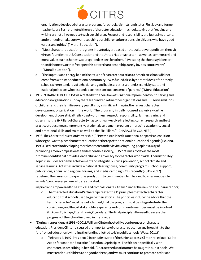

organizations developed character programs for schools, districts, and states. First lady and former teacher Laura Bush promotedthe use of character educationin schools,saying that 'reading and writing are not all we need to teach our children. Respect and responsibility are justasimportant, andweneedtomakesurewe'reteachingourchildrentoberesponsible citizens who have good values and ethics" ("Moral Education").

- o "Mostcharactereducationprogramsinusetodayarebasedonthetraitsdevelopedfrom thecivic virtuesfoundintheU.S.ConstitutionandtheUnitedNationscharter—aswellas commoncivil and moralvaluessuchas honesty, courage, andrespectforothers.Advocating thathonestyisbetter thandishonesty,orthatfreespeechisbetterthancensorship,rarely invites controversy" ("MoralEducation").
- o "The impetus and energy behind the return of character educationto American schools did not comefromwithintheeducationalcommunity.Itwasfueled,first,byparentaldesirefor orderly schools where standards of behavior and good habits are stressed, and, second, by state and national politicians who responded to these anxious concerns of parents" ("Moral Education").
- 1992: "CHARACTER COUNTS! was createdwithacoalition of17 nationally prominent youth serving and educationalorganizations. Todaythere arehundreds ofmemberorganizations and CC!servesmillions ofchildrenandtheirfamilieseveryyear.Itis,byasignificantmargin,the largest character development organization in the world. The program, initially focused exclusively onthe development of core ethicaltraits-trustworthiness, respect, responsibility, fairness, caring and citizenship(the SixPillarsofCharacter)–has continually evolvedreflecting currentresearch andbest practicestobecome acomprehensive student development program embracing academic, social and emotional skills and traits as well as the Six Pillars." (CHARACTER COUNTS!).
- 1993:TheCharacterEducationPartnership(CEP)wasestablishedas anationalnonpartisan coalition whosegoalwastoplacecharactereducationatthetopofthenationaleducational agenda(Lickona, 1993).Dedicatedtodevelopingmoralcharacterandcivicvirtueinyoung people as away of promoting amore compassionate andresponsiblesociety,CEPcontinues todayasthemost prominententitythatprovidesleadershipandadvocacyforcharacter worldwide.Theirlistof"Key Topics"includesacademicachievementandintegrity,bullying prevention, school climate and service learning. Activities include a national clearinghouse, community programs, school support, publications, annual and regional forums, and media campaign.CEPrecently(2015-2017) redefinedtheirmissiontoexpandbeyondyouthto communities,families andbusiness entities,to include "people everywhere who are educated,

inspired and empoweredto be ethical and compassionate citizens." underthe new title of Character.org.

- o TheCharacterEducationPartnershipcreatedthe11principlesofeffectivecharacter education that schools used to guide their efforts. The principles include the advice that the term"character"mustbewell-defined,thattheprogrammustbeintegratedinto the curriculum,andthatallstakeholders-parentsandcommunitymembersmustbe involved (Lickona,T., Schaps,E.,andLewis,C.,nodate).The finalprincipleistheneedto assessthe progress ofthe school involved in the program.
- "Duringhispresidency(1993–2001),WilliamClintonhostedfiveconferencesoncharacter education. President Clinton discussed the importance of character education and brought it to the forefrontofeducationbytriplingthefundingallottedtoitinpublicschools(Watz,2011)"
	- o "February 4, 1997: President Clinton'sfirst State oftheUnion address: Clintonrolled out "Callto Action for American Education" based on 10 principles. The 6th dealt specifically with character.Indescribingit,hesaid,"Charactereducationmustbetaughtinour schools.We mustteachourchildrentobegoodcitizens,andwemustcontinueto promote order and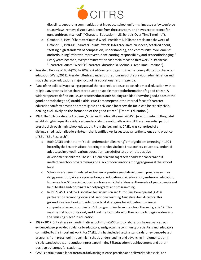

discipline, supporting communities that introduce school uniforms, impose curfews, enforce truancy laws,remove disruptive studentsfromthe classroom, andhavezerotolerancefor gunsanddrugsinschool"("CharacterEducationinUS Schools Over TimeTimeline").

- o October 16, 1994: "CharacterCounts! Week- President BillClintonproclaimedtheweek of October 16,1994 as "CharacterCounts!" week. Inhis proclamation speech, hetalked about, "setting high standards of compassion, understanding, and community involvement" andredoubling"effortstoimprovestudentlearning,responsibility,and senseofbelonging." Everyyearsincethen,everyadministrationhasproclaimedthe thirdweek inOctober as "CharacterCounts!"week" ("CharacterEducationisUSSchools Over TimeTimeline").
- President George W. Bush (2001 2009) asked Congress to again triple the money allotted to character education (Watz, 2011). President Bush expanded onthe programs ofthe previous administration and made character education a major focus of his educational reform agenda.
- "One ofthe politically appealing aspects of character education, as opposedto moral education withits religiousovertones,isthatcharactereducationspeaksmoretotheformationofagood citizen.A widelyrepeateddefinition(i.e.,charactereducationishelpingachildtoknowthe good,todesirethe good,andtodothegood)straddlesthisissue.Forsomepeopletheinternal focus of character education comfortably can be both religious and civic and for othersthe focus can be strictly civic, dealing exclusively on the formation of the good citizen" ("Moral Education").
- 1994:TheCollaborativeforAcademic,SocialandEmotionalLearning(CASEL)wasformedwith thegoalof establishinghigh-quality,evidence-basedsocialandemotionallearning(SEL) asan essential part of preschool through high school education. From the beginning, CASEL was comprised of a distinguished national leadership teamthat identified key issuesto advance the science and practice of SEL ("SEL Research").
	- o BothCASELandtheterm"socialandemotionallearning"emergedfromameetingin 1994 hosted by the Fetzer Institute. Meeting attendees included researchers, educators, and child advocatesinvolvedinvariouseducation-basedeffortstopromotepositive developmentinchildren. TheseSELpioneers cametogethertoaddressaconcernabout ineffectiveschoolprogrammingandalackofcoordinationamongprogramsatthe school level
	- o Schools were being inundated with a slew of positive youth development programssuch as drugprevention,violenceprevention,sexeducation,civiceducation,andmoral education, toname afew. SELwasintroduced as a framework that addressestheneeds of young people and helpsto align and coordinate school programs and programming.
	- o In 1997 CASEL, and the Association for Supervision and Curriculum Development (ASCD) partneredonPromotingSocial andEmotionalLearning:GuidelinesforEducators. This groundbreaking book provided practical strategies for educators to create comprehensive and coordinated SEL programming from preschool through grade 12. This was the first book of its kind, and it laid the foundation for the country to begin addressing the "missing piece" in education.
- 1997–2017:Criticalresearchandinitiatives,bothfromCASELandcollaborators,haveadvanced our evidence base, provided guidance to educators, andgrown the community ofscientists and educators committed to this important work. For CASEL, this has included setting standards for evidence-based programs from preschool through high school, understanding and advancing implementationin districtsandschools,andconductingresearchlinkingSELtoacademic achievement and other positive outcomes for students.
- CASEL continuesto collaborate toward advancing science, practice, and policy related to social and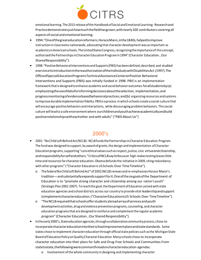

emotional learning. The 2015 release of the Handbook of Social and Emotional Learning: Research and Practicedemonstratesjusthowmuchthefieldhasgrown,withnearly100 contributors covering all aspects of social and emotional learning.

- 1994:"Oneofthegreateducationreformers,HoraceMann,inthe1840s,helpedtoimprove instruction in classrooms nationwide, advocating that character development was asimportant as academics in American schools. The United States Congress, recognizing the importance of this concept, authorizedthePartnershipsinCharacterEducationProgramin1994" (Character Education…Our SharedResponsibility").
- 1998: "Positive Behavioral Interventions and Supports (PBIS) has been defined, described, and studied eversinceitsintroductioninthereauthorizationoftheIndividualswithDisabilitiesAct (1997).The OfficeofSpecialEducationProgramsTechnicalAssistanceCenteronPositive Behavioral Interventions and Supports (PBIS) was initially funded in 1998. PBIS is an implementation framework thatis designedtoenhance academic andsocialbehavioroutcomes forallstudentsby(a) emphasizingtheuseofdataforinformingdecisionsabouttheselection, implementation,and progressmonitoringofevidencebasedbehavioralpractices;and(b) organizing resources andsystems toimprove durableimplementation fidelity.PBISis aprocess in which schools create asocial-culture that will encourage positive behaviors and interactions, while discouraging problem behaviors. Thissocialculture will leadto asafe environment where ourchildrenandyouthachieveacademicallyandbuild positiverelationshipswitheachother and with adults" ("PBIS About Us")

### 2000's

- 2001: "NoChildLeft BehindAct(NCLB)-NCLBfundsthePartnershipsinCharacterEducation Program. The fund was designed to support, by award of grants, the design and implementation of Character Education programs, supporting "core ethical values such as respect, justice, civic virtue and citizenship, andresponsibilityforselfandothers."CriticsofNCLBsayitsfocuson high-stakestesting leaveslittle time and resources for character education. Obama defunds the initiative in 2009, citing redundancy with other programs" ("Character Education is US Schools Over Time Timeline").
	- o The federalNoChildLeft Behind Act\*of 2002(NCLB)renews andre-emphasizesHorace Mann's tradition—andsubstantiallyexpandssupportforit.Oneofthesixgoalsofthe Department of Education is to "promote strong character and citizenship among our nation's youth" (Strategic Plan 2002-2007). Toreachthis goal,theDepartment ofEducation joined with state education agencies and school districts across our country to provide vital leadershipandsupport toimplementcharactereducation.("CharacterEducationisUS Schools Over TimeTimeline").
	- o "TheNCLBrequiredthatschoolsofferstudentsabroadarrayofservicesandyouth development activities, drug and violence prevention programs, counseling, and character education programsthat are designed to reinforce and complementthe regular academic program" (Character Education...Our Shared Responsibility").
- Intheearly2000's, Stateeducationagencies,throughacollaborativecommunityprocess, chose to incorporatecharactereducationintotheirschoolimprovementplansandstatestandards. Some states chose to implement character education through official state policies such as the Michigan State BoardofEducationPolicyonQualityCharacterEducation.Manyschools chose to incorporate character education into their plans for Safe and Drug-Free Schools and Communities.From statetostate,thefollowingwerecommonthreadsincharactereducation agendas:
	- o Involvement ofthe whole community in designing and implementing character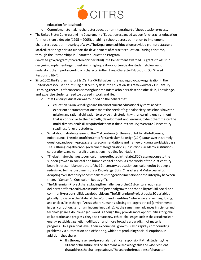

education for itsschools;

- o Commitmenttomakingcharactereducationanintegralpartoftheeducationprocess.
- The United States Congress and the Department of Education expanded support for character education for more than a decade (1995 – 2005), enabling schools across our nation to implement charactereducationinavarietyofways.TheDepartmentofEducationprovided grantsto state and local education agencies to support the development of character education. During this time, through the Partnerships in Character Education Program [\(www.ed.gov/programs/charactered/index.html\), t](http://www.ed.gov/programs/charactered/index.html))he Department awarded 97 grants to assist in designing,implementingandsustaininghigh-qualityopportunitiesforstudentstolearnand understandthe importance ofstrong characterintheirlives.(CharacterEducation…Our Shared Responsibility").
- Since 2002, the Partnership for 21st Century Skills has been the leading advocacy organization in the United Statesfocused on infusing 21st century skillsinto education. Its Framework for 21st Century Learning,theresultofaconsensusamonghundredsofstakeholders,describesthe skills, knowledge, and expertise students need to succeedinwork and life.
	- o 21st Century Educationwasfounded on the beliefsthat:
		- $\triangleright$  education is a universal right and that most current educational systems need to experience a transformation to meet the needs of a global society; and schools have the mission and rational obligation to provide their students with a learning environment that is conducive to their growth, development and learning,tohelpthemmasterthe multi-dimensionalskillsrequiredofthemin the21st century;toensure21st century readinessforevery student.
	- o Whatshouldstudentslearnforthe21stcentury?(intheageofArtificialIntelligence, Robotics,etc.)ThemissionoftheCenterforCurriculumRedesign(CCR)istoanswerthis timely question,andopenlypropagateitsrecommendationsandframeworksona worldwidebasis. TheCCRbringstogethernon-governmentalorganizations,jurisdictions, academic institutions, corporations, and non-profit organizationsincluding foundations.
	- o "Thelastmajorchangestocurriculumwereeffectedinthelate1800'sasaresponseto the sudden growth in societal and human capital needs. As the world of the 21st century bearslittleresemblancetothatofthe19thcentury,educationcurriculaneedto bedeeply redesigned for the four dimensions of Knowledge, Skills, Character and Meta-Learning. Adaptingto21stcenturyneedsmeansrevisitingeachdimensionandthe interplay between them. ("Center for Curriculum Redesign").
	- o TheMillenniumProjectshares,facingthechallengesofthe21stcenturyrequiresa deliberateefforttocultivateinstudents'personalgrowthandtheabilitytofulfillsocial and communityresponsibilitiesasglobalcitizens.TheMillenniumProjecttracks30 variables globally to discern the State of the World and identifies "where we are winning, losing, and unclear/little change."Areas where humanity islosing are largely ethical (environmental issues, corruption, terrorism, income inequality). At the same time, advances in science and technology are a double-edged sword. Although they provide more opportunitiesfor global collaboration and progress, they also create new ethical challenges such as the use of nuclear energy, pesticides, geneticmodification and more broadly a paradigm of material progress. On a practical level, their exponential growth is also rapidly compounding problems via automation and offshoring, which are producing social disruptions. In addition,they share:
		- $\triangleright$  It isthroughasense of personal and ethical responsibility that students, the citizens ofthe future, will be able to make knowledgeable and wise decisions thataddressthechallengesabove.Thesearethebroadaimsofcharacter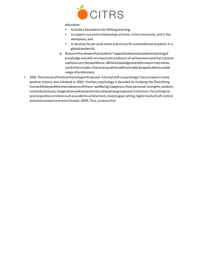

education:

- to build a foundation for lifelong learning;
- to support successful relationships at home, in the community, and in the workplace; and
- to developthe personal values and virtuesforsustainable participation in a globalizedworld.
- $\triangleright$  Researchhasshownthatstudents' capacities beyondacademiclearning of knowledge and skills are important predictors of achievement and that it proves usefulonceintheworkforce.Whileknowledgeandskillsmayormaynotbe usedinfuturejobs,characterqualitieswillinvariablybeapplicabletoawide range of professions.
- 2002: The Science ofPositivePsychology Introduced-Aformalshiftin psychology'sfocustoward a more positive science was initiated in 2002. Positive psychology is devoted to studying the flourishing humanlifebeyondthemereabsenceofillness-wellbeing,happiness,flow,personal strengths,wisdom, creativity(virtues),imaginationandcharacteristicsofpositivegroupsand institutions.Flourishinghas severalpositivecorrelatessuchasacademicachievement,masterygoal setting, higherlevels ofself-control and continued perseverance (Howell, 2009). Thus, a science that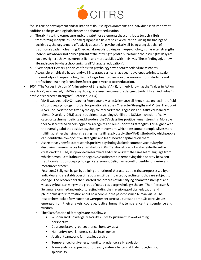

focuses on the development and facilitation of flourishing environments and individuals is an important addition to the psychological sciences and character education.

- $\circ$  The ability to know, measure and cultivate those elements that contribute to such a life is transforming many fields. The emerging applied field of positive education is using the findings of positive psychology tomore effectively educate forpsychological well-being alongside that of traditionalacademiclearning.Onecrucialareaofstudyinpositivepsychologyischaracter strengths. Individualswhoarenotonlycognizantoftheirstrengthprofilebutalsousetheir strengths daily are happier, higher achieving, more resilient and more satisfied withtheir lives. Thesefindingsgivenew lifeandscopetowhatschoolsmightcall"charactereducation".
- $\circ$  Overthe past 15 years, principles of positive psychology have been embedded in classrooms. Accessible, empirically-based, andwell-integrated curriculahavebeendevelopedto bringto scale theworkofpositivepsychology.Promotingrobust,cross-curricularlearninginour studentsand professionaltrainingforteachersfosterspositivecharactereducation.
- 2004: "The Values in Action (VIA) Inventory of Strengths (VIA-IS), formerly known as the "Valuesin Action Inventory", was created; VIA-IS is a psychological assessmentmeasure designedto identify an individual's profile of character strengths" (Petersen, 2004).
	- o VIA-ISwas createdbyChristopherPetersonandMartinSeligman,well-knownresearchersin thefield ofpositivepsychology,inordertooperationalizetheirCharacterStrengthsand VirtuesHandbook (CSV). TheCSVisthepositivepsychologycounterparttotheDiagnostic and Statistical Manual of Mental Disorders (DSM) used in traditional psychology. Unlike the DSM, which scientifically categorizeshumandeficitsanddisorders,theCSVclassifies positive humanstrengths.Moreover, theCSV is centered on helping people recognize and buildupontheirstrengths.Thisalignedwith theoverallgoalofthepositivepsychology movement,whichaimstomakepeople'slivesmore fulfilling,ratherthansimplytreating mentalillness.Notably,theVIA-ISisthetoolbywhichpeople canidentifytheirownpositive strengths and learn how to capitalize on them.
	- o Asarelativelynewfieldofresearch,positivepsychologylackedacommonvocabularyfor discussing measurable positive traits before 2004. Traditional psychology benefited from the creation oftheDSM, asit providedresearchers and clinicians withthe same set oflanguage from whichtheycouldtalkaboutthenegative.Asafirststepinremedyingthisdisparity between traditionalandpositivepsychology,PetersonandSeligmansetouttoidentify, organize and measurecharacter.
	- $\circ$  Peterson & Seligman began by defining the notion of character as traits that are possessed by an individualandarestableovertimebutcanstillbeimpactedbysettingandthusare subject to change. The researchers then started the process of identifying character strengths and virtues by brainstorming with a group of noted positive psychology scholars. Then,Peterson& Seligmanexaminedancientcultures(includingtheirreligions,politics, education and philosophies) forinformation about how people in the past construed human virtue.The researcherslookedforvirtuesthatwerepresentacrossculturesandtime.Six core virtues emerged from their analysis: courage, justice, humanity, temperance, transcendence and wisdom.
	- o The Classification of Strengths are asfollows:
		- **Wisdom and Knowledge: creativity, curiosity, judgment, love of learning,** perspective
		- Courage: bravery, perseverance, honesty, zest
		- **Humanity: love, kindness, social intelligence**
		- **Justice: teamwork, fairness, leadership**
		- **Temperance: forgiveness, humility, prudence, self-regulation**
		- **Transcendence: appreciation of beauty and excellence, gratitude, hope, humor,** spirituality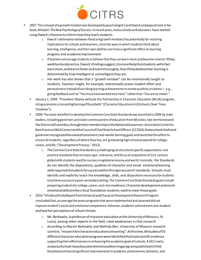

- 2007: The concept ofagrowthmindset was developedbypsychologist CarolDweck andpopularized in her book,*Mindset: TheNewPsychologyof Success*.Inrecent years,manyschoolsandeducators have started usingDweck'stheoriesto informhowthey teach students.
	- o Dweck's delineation between fixed andgrowthmindsets has potentially far-reaching implications for schools and teachers, since the ways in which students think about learning, intelligence, andtheir own abilities can have a significant effect on learning progress and academicimprovement.
	- $\circ$  If teachers encourage students to believe that they can learn more and become smarter if they workhardandpractice,Dweck'sfindingssuggest,itismorelikelythatstudents willinfact learnmore, and learnit faster and more thoroughly, than if they believe that learning is determined by how intelligent or unintelligent they are.
	- $\circ$  Her work has also shown that a "growth mindset" can be intentionally taught to students. Teachers might, for example, intentionally praise student effort and perseverance insteadofascribing learning achievementstoinnatequalities ortalents— e.g., giving feedback such as "You must have worked very hard," rather than "You are so smart."
	- January 1, 2009: "President Obama defunds the Partnership in Character Education (NCLB) program, citing economic crisis andtighteningoffiscalbelts" (CharacterEducationinUSSchools Over Time Timeline").
	- 2009: The state-ledeffortto developtheCommon Core State Standards waslaunchedin 2009 by state leaders, including governors and state commissioners ofeducation from48 states,two territoriesand theDistrictofColumbia,throughtheirmembershipintheNationalGovernors AssociationCenterfor BestPractices(NGACenter)andtheCouncilofChiefStateSchoolOfficers (CCSSO).Stateschoolchiefsand governorsrecognizedthevalueofconsistent,real-world learning goals and launched this effortto ensure all students, regardless of where they live, are graduating high school prepared for college, career, and life.("Development Process," 2012).
		- o TheCommonCoreStateStandardsisachallengingsetofcontentspecificexpectations and practice standards that increase rigor, relevance, and focus on acquisition of 21st century globalskillsstudents needforsuccessinaglobaleconomy andworld.Ironically, the Standards do not identify the dispositions, qualities of character and social- emotionallearning skillsrequiredofstudentsforsuccesswithinthisrigoroussetof standards. Schools must identify and explicitly teach the knowledge, skills, and dispositionsnecessaryforstudents toachievesuccessinapost-secondarysetting. The CommonCoreStateStandardsgoalsinclude preparingstudentsforcollege,career,and civicreadiness.Characterdevelopmentandsocialemotionalskillsarethecritical foundation students need to meet those goals.
	- 2010:"AFederalStudyReportfromtheSocialandCharacterDevelopmentResearchProgram concludedthat,on average the sevenprogramsthat were implemented and assessed did not improve student'ssocial and emotional competence, behavior, academic achievement and student and teacher perceptions of school climate.
		- o Mr.Berkowitz,(aprofessorofcharactereducationattheUniversityofMissouri,St. Louis), among other experts in the field, cited weaknesses in that research
		- o According to Marvin Berkowitz and Melinda Bier, University of Missouri research scientist,"researchforcharactereducationismounting".Atthistime,69studiesof33 differentcharactereducationprogramswereidentifiedthathadscientificevidence supportingtheireffectivenessinenhancingthe academic goalsofschools.A2011metaanalysisofschool-basedsocialandemotionallearningprogramspublishedinChild Developmentfoundsignificantimprovementsin academic achievement, behavior, and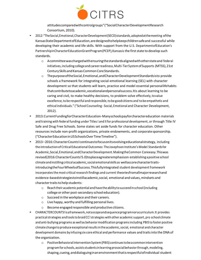

attitudescomparedwithcontrolgroups"("SocialCharacterDevelopmentResearch Consortium, 2010).

- 2012:"TheSocial,Emotional,CharacterDevelopment(SECD)standards,adoptedatthemeeting ofthe KansasStateDepartmentofEducation,aredesignedtohelpkeepchildrensafeand successful while developing their academic and life skills. With support from the U.S. DepartmentofEducation's PartnershipinCharacterEducationGrantProgram(PCEP), Kansasis the first state to develop such standards.
	- o Acommitteewaschargedwithensuringthestandardsalignedwithotherstateand federal initiatives, including college and career readiness, Multi-Tier System of Supports (MTSS), 21st Century Skills and Kansas Common Core Standards.
	- o ThepurposeoftheSocial,Emotional,andCharacterDevelopmentStandardsisto provide schools a framework for integrating social-emotional learning (SEL) with character development so that students will learn, practice and model essential personallifehabits thatcontributetoacademic,vocationalandpersonalsuccess.Itis about learning to be caring and civil, to make healthy decisions, to problem solve effectively,tovalue excellence, to be respectful and responsible, to be good citizens and to be empathetic and ethical individuals." ("SchoolCounseling - Social, Emotional and Character Development, 2012).
- 2013:CurrentFundingforCharacterEducation-Manyschoolspayforcharactereducation materials and training with federal funding under Titles I and II for professional development, or through Title IV Safe and Drug Free Schools. Some states set aside funds for character education. Other resources include non-profit organizations, private endowments, and corporatesponsorship. ("CharacterEducationinUSSchoolsOverTimeTimeline").
- 2013–2016: Character Counts! continuest of ocus on its evolving educational strategy, including the introduction of Critical Educational Outcomes: The Josephson Institute's Model Standardsfor Academic,Social,Emotional,andCharacterDevelopment.MakingtheCommon Coreeasy.Thiswas revised(2016:CharacterCounts!5.0)toplaceagreateremphasison establishingapositiveschool climate andinstillingcritical academic,social emotionalskills as wellascorecharactertraitsintroducingtheFourWheelsofSuccess.Thisfullyintegrated student development framework incorporates the most critical research findings and current theoriesfromallmajorresearchand evidence-basedstrategiestoinstillacademic, social, emotional and values, mindsets and character traits to help students:
	- o Reachtheir academic potential and have the abilitytosucceedinschool(including college or other post-secondary school education).
	- o Succeed in the workplace and their careers.
	- o Live happy, worthy and fulfilling personal lives.
	- o Become engaged responsible and productive citizens.
- CHARACTERCOUNTS!isaframework,notascopeandsequenceprogramnoracurriculum.It provides practical strategies and tools to braid CC! strategies with other academic support, pro school climate and anti-bullying programs as well as behavior modification programs including PBIS to foster positive climate changeto produce exceptionalresultsinthe academic,social, emotional and character development domains by infusing six core ethical and performance values and traits into the DNA of the organization.
	- $\circ$  Positive Behavioral Intervention System (PBIS) continues to be a common intervention programforschools, assistsstudentsinlearning prosocialbehaviorthrough,modeling, shaping,cueing,anddialoguinginanenvironmentthatisrespectfulofindividual student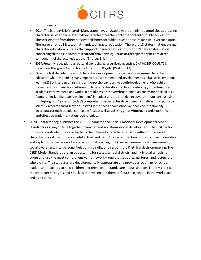

needs.

- 2014:TheStrategyBriefshared–Manystateshaveenactedlawsoradministrativepolicies addressing characterissueseitherrelatedtothecharacterofteachersortothecontentof publiceducation. Theseoriginatedfromtheearliestestablishmentofpubliceducationasa responsibilityofeachstate. Therearecurrently18statesthatmandatecharactereducation. There are 18 states that encourage character education, 7 states that support character education,butdon'thaveanylegislation concerningthistopic,and8statesthatdon'thaveany legislation onthe topic today be considered components of character education. ("Strategy Brief
- 2017: Presently, education pushesstand-alone character curriculumssuch as CHARACTER COUNTS!, HeartwoodProgram,Centerforthe4thand5thR's,etc.(Watz,2011).
- Over the last decade, the word character development has grown to subsume character education while also adding many important advancements and developments, such as social emotional learning (SEL), interpersonal skills, positive psychology, positive youth development, wholechild movement,positiveschoolcultureandclimate,restorativepractices,leadership, growthmindset, academic improvement, and workplace readiness. These verybroadinitiatives today are referred to as "comprehensive character development" initiatives and are intended to coverallimportantbasesina singleprogram.Asaresult,today'scomprehensivecharacter development initiatives, inresponse to scientific research and discoveries, aswell asthe needs of ourschools and society, intentionally incorporate amuch broader curriculum focus as well as utilizinggreatlyimprovedandmoreefficient andeffectiveimplementationtechnologies.
- 2020: Character.org publishes the CSED (Character and Social Emotional Development) Model Standards as a way to fuse together character and social-emotional development. The first section of the standards identifies and explains the different character strengths within four areas of character: moral, performance, intellectual, and civic. The second section of the standards identifies and explains the five areas of social emotional learning (SEL): self-awareness, self-management, social awareness, interpersonal/relationship skills, and responsible & ethical decision-making. The CSED Model Standards are an opportunity for states, school districts, and individual schools to adopt and use the most comprehensive framework – one that supports, nurtures, and fosters the whole child. The standards are developmentally appropriate and provide a roadmap for school leaders and teachers to help children and teens understand, care about, and consistently practice the character strengths and SEL skills that will enable them to flourish in school, in the workplace, and as citizens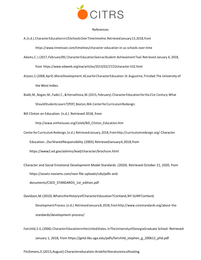

#### References

- A.(n.d.).CharacterEducationinUSSchoolsOverTimetimeline.RetrievedJanuary13,2018,from https:/[/www.timetoast.com/timelines/character-education-in-us-schools-over-time](http://www.timetoast.com/timelines/character-education-in-us-schools-over-time)
- Adams,C.J.(2017,February09).CharacterEducationSeenasStudent-AchievementTool.Retrieved January 4, 2018, from https:/[/www.edweek.org/ew/articles/2013/02/27/22character.h32.html](http://www.edweek.org/ew/articles/2013/02/27/22character.h32.html)
- Arjoon,S.(2008,April).MoralDevelopment:ACaseforCharacterEducation.St.Augustine,Trinidad:The University of the West lndies.
- Bialik,M.,Bogan,M.,Fadel,C.,&Horvathova,M.(2015, February).CharacterEducationforthe21st Century:What ShouldStudentsLearn?[PDF].Boston,MA:CenterforCurriculumRedesign.

Bill Clinton on Education. (n.d.). Retrieved 2018, from

http://www.ontheissues.org/Celeb/Bill\_Clinton\_Education.htm

CenterforCurriculumRedesign.(n.d.).RetrievedJanuary,2018,fro[mhttp://curriculumredesign.org/](http://curriculumredesign.org/) Character

Education…OurSharedResponsibility.(2005).RetrievedJanuary4,2018,from

https://www2.ed.gov/admins/lead/character/brochure.html

Character and Social Emotional Development Model Standards. (2020). Retrieved October 21, 2020, from https://assets.noviams.com/novi-file-uploads/cdo/pdfs-and-

documents/CSED\_STANDARDS\_1st\_edition.pdf

Davidson, M. (2010). What is the History of Character Education? Cortland, NY: SUNY Cortland.

Development Process. (n.d.). Retrieved January 8, 2018, from http://www.corestandards.org/about-thestandards/development-process/

Fairchild,S.G.(2006).CharacterEducationintheUnitedStates.InTheUniversityofGeorgiaGraduate School. Retrieved January 1, 2018, from https://getd.libs.uga.edu/pdfs/fairchild\_stephen\_g\_200612\_phd.pdf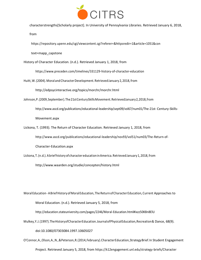

characterstrengths[Scholarly project]. In University of Pennsylvania Libraries. Retrieved January 6, 2018, from

https://repository.upenn.edu/cgi/viewcontent.cgi?referer=&httpsredir=1&article=1051&con

text=mapp\_capstone

History of Character Education. (n.d.). Retrieved January 1, 2018, from

https://www.preceden.com/timelines/331129-history-of-character-education

Huitt,W.(2004).Moral andCharacterDevelopment.RetrievedJanuary 2,2018,from

<http://edpsycinteractive.org/topics/morchr/morchr.html>

Johnson,P.(2009,September).The21stCenturySkillsMovement.RetrievedJanuary2,2018,from

<http://www.ascd.org/publications/educational-leadership/sept09/vol67/num01/The-21st-> Century-Skills-Movement.aspx

Lickona, T. (1993). The Return of Character Education. Retrieved January 1, 2018, from <http://www.ascd.org/publications/educational-leadership/nov93/vol51/num03/The-Return-of->Character-Education.aspx

Lickona, T.(n.d.). Abriefhistory of character educationinAmerica.RetrievedJanuary 1,2018,from <http://www.waarden.org/studie/concepten/history.html>

Moral Education- ABriefHistoryofMoralEducation, The ReturnofCharacter Education,Current Approaches to Moral Education. (n.d.). Retrieved January 5, 2018, from <http://education.stateuniversity.com/pages/2246/Moral-Education.html#ixzz50K8n8ElU> Mulkey,Y.J.(1997).TheHistoryofCharacterEducation.JournalofPhysicalEducation,Recreation& Dance, 68(9).

doi:10.1080/07303084.1997.10605027

O'Connor,A.,Olson,A.,N.,&Peterson,R.(2014,February).CharacterEducation,StrategyBrief.In Student Engagement

Project. Retrieved January 5, 2018, from https://k12engagement.unl.edu/strategy-briefs/Character